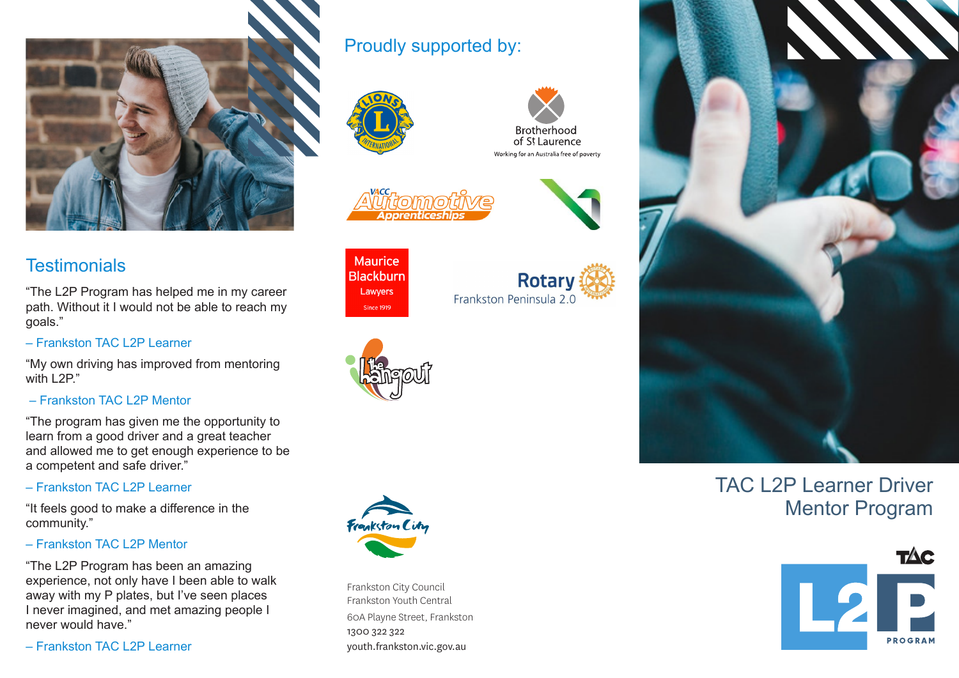

## **Testimonials**

"The L2P Program has helped me in my career path. Without it I would not be able to reach my goals."

– Frankston TAC L2P Learner

"My own driving has improved from mentoring with L2P."

– Frankston TAC L2P Mentor

"The program has given me the opportunity to learn from a good driver and a great teacher and allowed me to get enough experience to be a competent and safe driver."

– Frankston TAC L2P Learner

"It feels good to make a difference in the community."

#### – Frankston TAC L2P Mentor

"The L2P Program has been an amazing experience, not only have I been able to walk away with my P plates, but I've seen places I never imagined, and met amazing people I never would have."

– Frankston TAC L2P Learner

Proudly supported by:



Maurice **Blackburn** 

Lawyers

**Since 1919** 











Frankston City Council Frankston Youth Central 60A Playne Street, Frankston 1300 322 322 youth.frankston.vic.gov.au



# TAC L2P Learner Driver Mentor Program